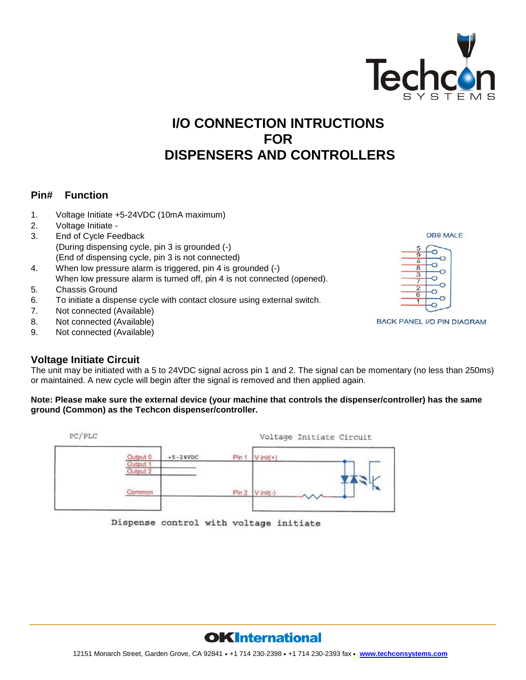

# **I/O CONNECTION INTRUCTIONS FOR DISPENSERS AND CONTROLLERS**

### **Pin# Function**

- 1. Voltage Initiate +5-24VDC (10mA maximum)
- 2. Voltage Initiate -
- 3. End of Cycle Feedback (During dispensing cycle, pin 3 is grounded (-) (End of dispensing cycle, pin 3 is not connected)
- 4. When low pressure alarm is triggered, pin 4 is grounded (-) When low pressure alarm is turned off, pin 4 is not connected (opened).
- 5. Chassis Ground
- 6. To initiate a dispense cycle with contact closure using external switch.
- 7. Not connected (Available)
- 8. Not connected (Available)
- 9. Not connected (Available)

# **Voltage Initiate Circuit**

The unit may be initiated with a 5 to 24VDC signal across pin 1 and 2. The signal can be momentary (no less than 250ms) or maintained. A new cycle will begin after the signal is removed and then applied again.

#### **Note: Please make sure the external device (your machine that controls the dispenser/controller) has the same ground (Common) as the Techcon dispenser/controller.**

| PC/PLC |                      |            |          | Voltage Initiate Circuit |
|--------|----------------------|------------|----------|--------------------------|
|        | Output 0             | $+5-24VDC$ | Pin 1    | $V$ init(+)              |
|        | Output 1<br>Output 2 |            |          |                          |
|        | Common               |            | $P\ln 2$ | $V$ init(-)              |
|        |                      |            |          |                          |

Dispense control with voltage initiate



BACK PANEL I/O PIN DIAGRAM